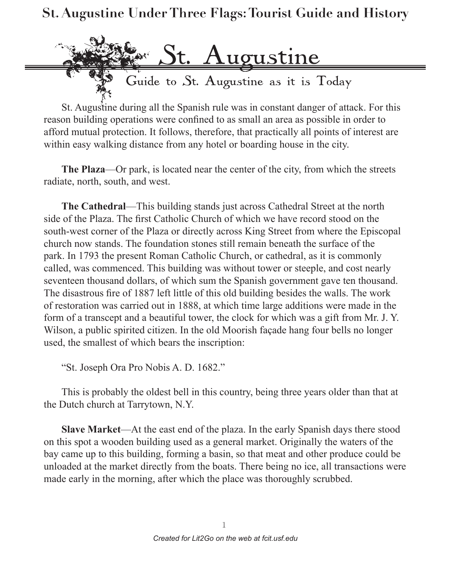

St. Augustine during all the Spanish rule was in constant danger of attack. For this reason building operations were confined to as small an area as possible in order to afford mutual protection. It follows, therefore, that practically all points of interest are within easy walking distance from any hotel or boarding house in the city.

**The Plaza**—Or park, is located near the center of the city, from which the streets radiate, north, south, and west.

**The Cathedral**—This building stands just across Cathedral Street at the north side of the Plaza. The first Catholic Church of which we have record stood on the south-west corner of the Plaza or directly across King Street from where the Episcopal church now stands. The foundation stones still remain beneath the surface of the park. In 1793 the present Roman Catholic Church, or cathedral, as it is commonly called, was commenced. This building was without tower or steeple, and cost nearly seventeen thousand dollars, of which sum the Spanish government gave ten thousand. The disastrous fire of 1887 left little of this old building besides the walls. The work of restoration was carried out in 1888, at which time large additions were made in the form of a transcept and a beautiful tower, the clock for which was a gift from Mr. J. Y. Wilson, a public spirited citizen. In the old Moorish façade hang four bells no longer used, the smallest of which bears the inscription:

"St. Joseph Ora Pro Nobis A. D. 1682."

This is probably the oldest bell in this country, being three years older than that at the Dutch church at Tarrytown, N.Y.

**Slave Market**—At the east end of the plaza. In the early Spanish days there stood on this spot a wooden building used as a general market. Originally the waters of the bay came up to this building, forming a basin, so that meat and other produce could be unloaded at the market directly from the boats. There being no ice, all transactions were made early in the morning, after which the place was thoroughly scrubbed.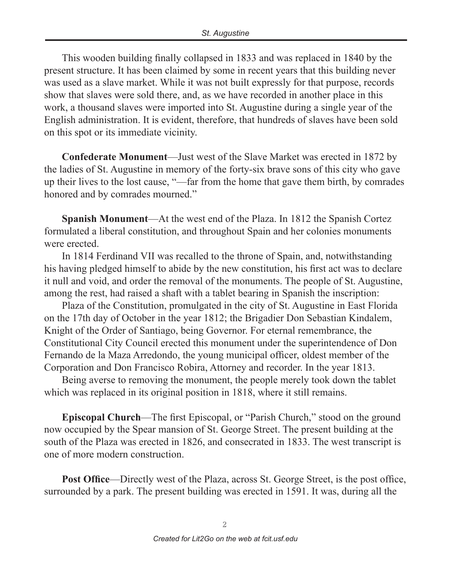This wooden building finally collapsed in 1833 and was replaced in 1840 by the present structure. It has been claimed by some in recent years that this building never was used as a slave market. While it was not built expressly for that purpose, records show that slaves were sold there, and, as we have recorded in another place in this work, a thousand slaves were imported into St. Augustine during a single year of the English administration. It is evident, therefore, that hundreds of slaves have been sold on this spot or its immediate vicinity.

**Confederate Monument**—Just west of the Slave Market was erected in 1872 by the ladies of St. Augustine in memory of the forty-six brave sons of this city who gave up their lives to the lost cause, "—far from the home that gave them birth, by comrades honored and by comrades mourned."

**Spanish Monument**—At the west end of the Plaza. In 1812 the Spanish Cortez formulated a liberal constitution, and throughout Spain and her colonies monuments were erected.

In 1814 Ferdinand VII was recalled to the throne of Spain, and, notwithstanding his having pledged himself to abide by the new constitution, his first act was to declare it null and void, and order the removal of the monuments. The people of St. Augustine, among the rest, had raised a shaft with a tablet bearing in Spanish the inscription:

Plaza of the Constitution, promulgated in the city of St. Augustine in East Florida on the 17th day of October in the year 1812; the Brigadier Don Sebastian Kindalem, Knight of the Order of Santiago, being Governor. For eternal remembrance, the Constitutional City Council erected this monument under the superintendence of Don Fernando de la Maza Arredondo, the young municipal officer, oldest member of the Corporation and Don Francisco Robira, Attorney and recorder. In the year 1813.

Being averse to removing the monument, the people merely took down the tablet which was replaced in its original position in 1818, where it still remains.

**Episcopal Church**—The first Episcopal, or "Parish Church," stood on the ground now occupied by the Spear mansion of St. George Street. The present building at the south of the Plaza was erected in 1826, and consecrated in 1833. The west transcript is one of more modern construction.

**Post Office**—Directly west of the Plaza, across St. George Street, is the post office, surrounded by a park. The present building was erected in 1591. It was, during all the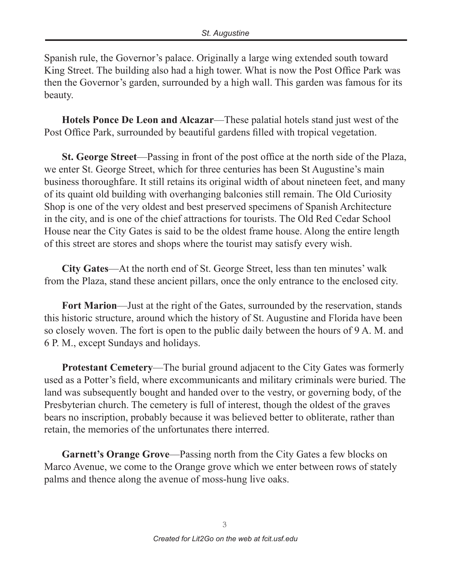Spanish rule, the Governor's palace. Originally a large wing extended south toward King Street. The building also had a high tower. What is now the Post Office Park was then the Governor's garden, surrounded by a high wall. This garden was famous for its beauty.

**Hotels Ponce De Leon and Alcazar**—These palatial hotels stand just west of the Post Office Park, surrounded by beautiful gardens filled with tropical vegetation.

**St. George Street**—Passing in front of the post office at the north side of the Plaza, we enter St. George Street, which for three centuries has been St Augustine's main business thoroughfare. It still retains its original width of about nineteen feet, and many of its quaint old building with overhanging balconies still remain. The Old Curiosity Shop is one of the very oldest and best preserved specimens of Spanish Architecture in the city, and is one of the chief attractions for tourists. The Old Red Cedar School House near the City Gates is said to be the oldest frame house. Along the entire length of this street are stores and shops where the tourist may satisfy every wish.

**City Gates**—At the north end of St. George Street, less than ten minutes' walk from the Plaza, stand these ancient pillars, once the only entrance to the enclosed city.

**Fort Marion**—Just at the right of the Gates, surrounded by the reservation, stands this historic structure, around which the history of St. Augustine and Florida have been so closely woven. The fort is open to the public daily between the hours of 9 A. M. and 6 P. M., except Sundays and holidays.

**Protestant Cemetery**—The burial ground adjacent to the City Gates was formerly used as a Potter's field, where excommunicants and military criminals were buried. The land was subsequently bought and handed over to the vestry, or governing body, of the Presbyterian church. The cemetery is full of interest, though the oldest of the graves bears no inscription, probably because it was believed better to obliterate, rather than retain, the memories of the unfortunates there interred.

**Garnett's Orange Grove**—Passing north from the City Gates a few blocks on Marco Avenue, we come to the Orange grove which we enter between rows of stately palms and thence along the avenue of moss-hung live oaks.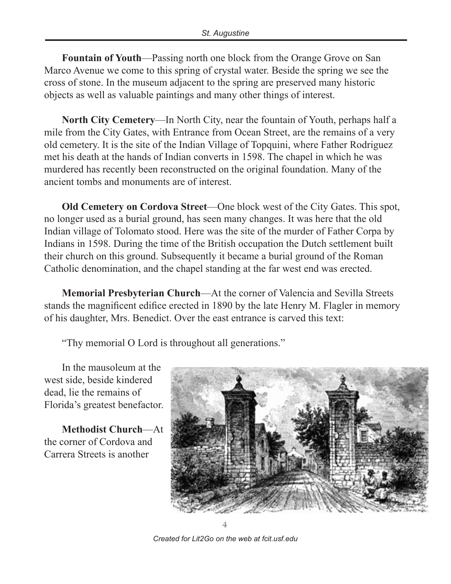**Fountain of Youth**—Passing north one block from the Orange Grove on San Marco Avenue we come to this spring of crystal water. Beside the spring we see the cross of stone. In the museum adjacent to the spring are preserved many historic objects as well as valuable paintings and many other things of interest.

**North City Cemetery**—In North City, near the fountain of Youth, perhaps half a mile from the City Gates, with Entrance from Ocean Street, are the remains of a very old cemetery. It is the site of the Indian Village of Topquini, where Father Rodriguez met his death at the hands of Indian converts in 1598. The chapel in which he was murdered has recently been reconstructed on the original foundation. Many of the ancient tombs and monuments are of interest.

**Old Cemetery on Cordova Street**—One block west of the City Gates. This spot, no longer used as a burial ground, has seen many changes. It was here that the old Indian village of Tolomato stood. Here was the site of the murder of Father Corpa by Indians in 1598. During the time of the British occupation the Dutch settlement built their church on this ground. Subsequently it became a burial ground of the Roman Catholic denomination, and the chapel standing at the far west end was erected.

**Memorial Presbyterian Church**—At the corner of Valencia and Sevilla Streets stands the magnificent edifice erected in 1890 by the late Henry M. Flagler in memory of his daughter, Mrs. Benedict. Over the east entrance is carved this text:

"Thy memorial O Lord is throughout all generations."

In the mausoleum at the west side, beside kindered dead, lie the remains of Florida's greatest benefactor.

**Methodist Church**—At the corner of Cordova and Carrera Streets is another



4

*Created for Lit2Go on the web at fcit.usf.edu*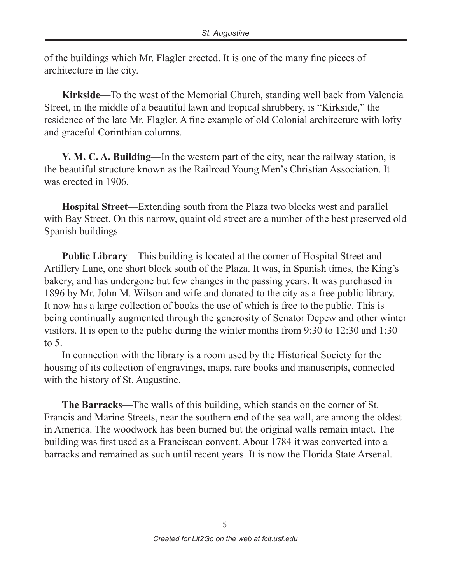of the buildings which Mr. Flagler erected. It is one of the many fine pieces of architecture in the city.

**Kirkside**—To the west of the Memorial Church, standing well back from Valencia Street, in the middle of a beautiful lawn and tropical shrubbery, is "Kirkside," the residence of the late Mr. Flagler. A fine example of old Colonial architecture with lofty and graceful Corinthian columns.

**Y. M. C. A. Building**—In the western part of the city, near the railway station, is the beautiful structure known as the Railroad Young Men's Christian Association. It was erected in 1906.

**Hospital Street**—Extending south from the Plaza two blocks west and parallel with Bay Street. On this narrow, quaint old street are a number of the best preserved old Spanish buildings.

**Public Library**—This building is located at the corner of Hospital Street and Artillery Lane, one short block south of the Plaza. It was, in Spanish times, the King's bakery, and has undergone but few changes in the passing years. It was purchased in 1896 by Mr. John M. Wilson and wife and donated to the city as a free public library. It now has a large collection of books the use of which is free to the public. This is being continually augmented through the generosity of Senator Depew and other winter visitors. It is open to the public during the winter months from 9:30 to 12:30 and 1:30 to 5.

In connection with the library is a room used by the Historical Society for the housing of its collection of engravings, maps, rare books and manuscripts, connected with the history of St. Augustine.

**The Barracks**—The walls of this building, which stands on the corner of St. Francis and Marine Streets, near the southern end of the sea wall, are among the oldest in America. The woodwork has been burned but the original walls remain intact. The building was first used as a Franciscan convent. About 1784 it was converted into a barracks and remained as such until recent years. It is now the Florida State Arsenal.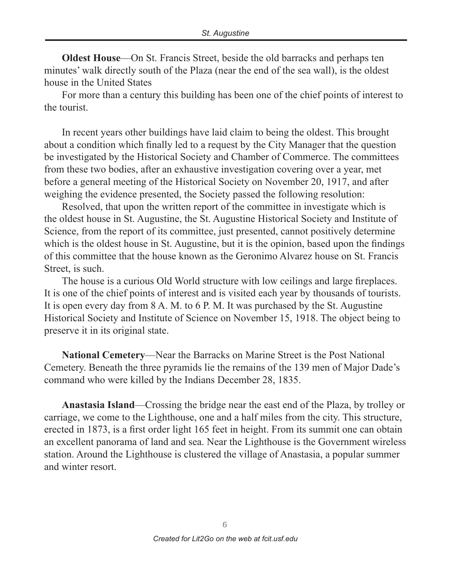**Oldest House**—On St. Francis Street, beside the old barracks and perhaps ten minutes' walk directly south of the Plaza (near the end of the sea wall), is the oldest house in the United States

For more than a century this building has been one of the chief points of interest to the tourist.

In recent years other buildings have laid claim to being the oldest. This brought about a condition which finally led to a request by the City Manager that the question be investigated by the Historical Society and Chamber of Commerce. The committees from these two bodies, after an exhaustive investigation covering over a year, met before a general meeting of the Historical Society on November 20, 1917, and after weighing the evidence presented, the Society passed the following resolution:

Resolved, that upon the written report of the committee in investigate which is the oldest house in St. Augustine, the St. Augustine Historical Society and Institute of Science, from the report of its committee, just presented, cannot positively determine which is the oldest house in St. Augustine, but it is the opinion, based upon the findings of this committee that the house known as the Geronimo Alvarez house on St. Francis Street, is such.

The house is a curious Old World structure with low ceilings and large fireplaces. It is one of the chief points of interest and is visited each year by thousands of tourists. It is open every day from 8 A. M. to 6 P. M. It was purchased by the St. Augustine Historical Society and Institute of Science on November 15, 1918. The object being to preserve it in its original state.

**National Cemetery**—Near the Barracks on Marine Street is the Post National Cemetery. Beneath the three pyramids lie the remains of the 139 men of Major Dade's command who were killed by the Indians December 28, 1835.

**Anastasia Island**—Crossing the bridge near the east end of the Plaza, by trolley or carriage, we come to the Lighthouse, one and a half miles from the city. This structure, erected in 1873, is a first order light 165 feet in height. From its summit one can obtain an excellent panorama of land and sea. Near the Lighthouse is the Government wireless station. Around the Lighthouse is clustered the village of Anastasia, a popular summer and winter resort.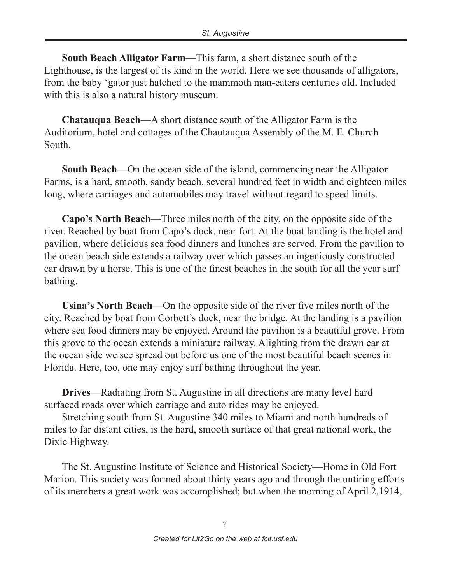**South Beach Alligator Farm**—This farm, a short distance south of the Lighthouse, is the largest of its kind in the world. Here we see thousands of alligators, from the baby 'gator just hatched to the mammoth man-eaters centuries old. Included with this is also a natural history museum.

**Chatauqua Beach**—A short distance south of the Alligator Farm is the Auditorium, hotel and cottages of the Chautauqua Assembly of the M. E. Church South.

**South Beach**—On the ocean side of the island, commencing near the Alligator Farms, is a hard, smooth, sandy beach, several hundred feet in width and eighteen miles long, where carriages and automobiles may travel without regard to speed limits.

**Capo's North Beach**—Three miles north of the city, on the opposite side of the river. Reached by boat from Capo's dock, near fort. At the boat landing is the hotel and pavilion, where delicious sea food dinners and lunches are served. From the pavilion to the ocean beach side extends a railway over which passes an ingeniously constructed car drawn by a horse. This is one of the finest beaches in the south for all the year surf bathing.

**Usina's North Beach**—On the opposite side of the river five miles north of the city. Reached by boat from Corbett's dock, near the bridge. At the landing is a pavilion where sea food dinners may be enjoyed. Around the pavilion is a beautiful grove. From this grove to the ocean extends a miniature railway. Alighting from the drawn car at the ocean side we see spread out before us one of the most beautiful beach scenes in Florida. Here, too, one may enjoy surf bathing throughout the year.

**Drives**—Radiating from St. Augustine in all directions are many level hard surfaced roads over which carriage and auto rides may be enjoyed.

Stretching south from St. Augustine 340 miles to Miami and north hundreds of miles to far distant cities, is the hard, smooth surface of that great national work, the Dixie Highway.

The St. Augustine Institute of Science and Historical Society—Home in Old Fort Marion. This society was formed about thirty years ago and through the untiring efforts of its members a great work was accomplished; but when the morning of April 2,1914,